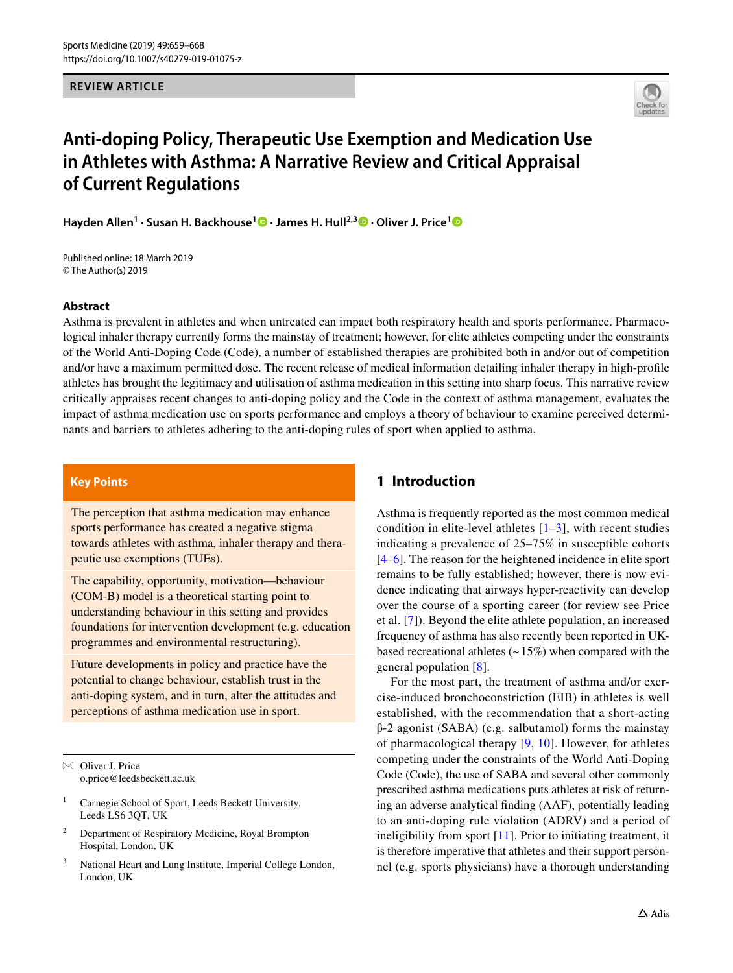**REVIEW ARTICLE**



# **Anti‑doping Policy, Therapeutic Use Exemption and Medication Use in Athletes with Asthma: A Narrative Review and Critical Appraisal of Current Regulations**

**Hayden Allen1 · Susan H. Backhouse[1](http://orcid.org/0000-0002-4810-5173) · James H. Hull2,[3](http://orcid.org/0000-0003-4697-1526) · Oliver J. Price[1](http://orcid.org/0000-0001-8596-4949)**

Published online: 18 March 2019 © The Author(s) 2019

#### **Abstract**

Asthma is prevalent in athletes and when untreated can impact both respiratory health and sports performance. Pharmacological inhaler therapy currently forms the mainstay of treatment; however, for elite athletes competing under the constraints of the World Anti-Doping Code (Code), a number of established therapies are prohibited both in and/or out of competition and/or have a maximum permitted dose. The recent release of medical information detailing inhaler therapy in high-profle athletes has brought the legitimacy and utilisation of asthma medication in this setting into sharp focus. This narrative review critically appraises recent changes to anti-doping policy and the Code in the context of asthma management, evaluates the impact of asthma medication use on sports performance and employs a theory of behaviour to examine perceived determinants and barriers to athletes adhering to the anti-doping rules of sport when applied to asthma.

## **Key Points**

The perception that asthma medication may enhance sports performance has created a negative stigma towards athletes with asthma, inhaler therapy and therapeutic use exemptions (TUEs).

The capability, opportunity, motivation—behaviour (COM-B) model is a theoretical starting point to understanding behaviour in this setting and provides foundations for intervention development (e.g. education programmes and environmental restructuring).

Future developments in policy and practice have the potential to change behaviour, establish trust in the anti-doping system, and in turn, alter the attitudes and perceptions of asthma medication use in sport.

 $\boxtimes$  Oliver J. Price o.price@leedsbeckett.ac.uk

- <sup>1</sup> Carnegie School of Sport, Leeds Beckett University, Leeds LS6 3QT, UK
- <sup>2</sup> Department of Respiratory Medicine, Royal Brompton Hospital, London, UK
- <sup>3</sup> National Heart and Lung Institute, Imperial College London, London, UK

# **1 Introduction**

Asthma is frequently reported as the most common medical condition in elite-level athletes  $[1-3]$  $[1-3]$ , with recent studies indicating a prevalence of 25–75% in susceptible cohorts [\[4–](#page-7-2)[6\]](#page-7-3). The reason for the heightened incidence in elite sport remains to be fully established; however, there is now evidence indicating that airways hyper-reactivity can develop over the course of a sporting career (for review see Price et al. [\[7\]](#page-7-4)). Beyond the elite athlete population, an increased frequency of asthma has also recently been reported in UKbased recreational athletes  $(-15%)$  when compared with the general population [\[8](#page-7-5)].

For the most part, the treatment of asthma and/or exercise-induced bronchoconstriction (EIB) in athletes is well established, with the recommendation that a short-acting  $β-2$  agonist (SABA) (e.g. salbutamol) forms the mainstay of pharmacological therapy [\[9,](#page-7-6) [10](#page-7-7)]. However, for athletes competing under the constraints of the World Anti-Doping Code (Code), the use of SABA and several other commonly prescribed asthma medications puts athletes at risk of returning an adverse analytical fnding (AAF), potentially leading to an anti-doping rule violation (ADRV) and a period of ineligibility from sport [\[11\]](#page-8-0). Prior to initiating treatment, it is therefore imperative that athletes and their support personnel (e.g. sports physicians) have a thorough understanding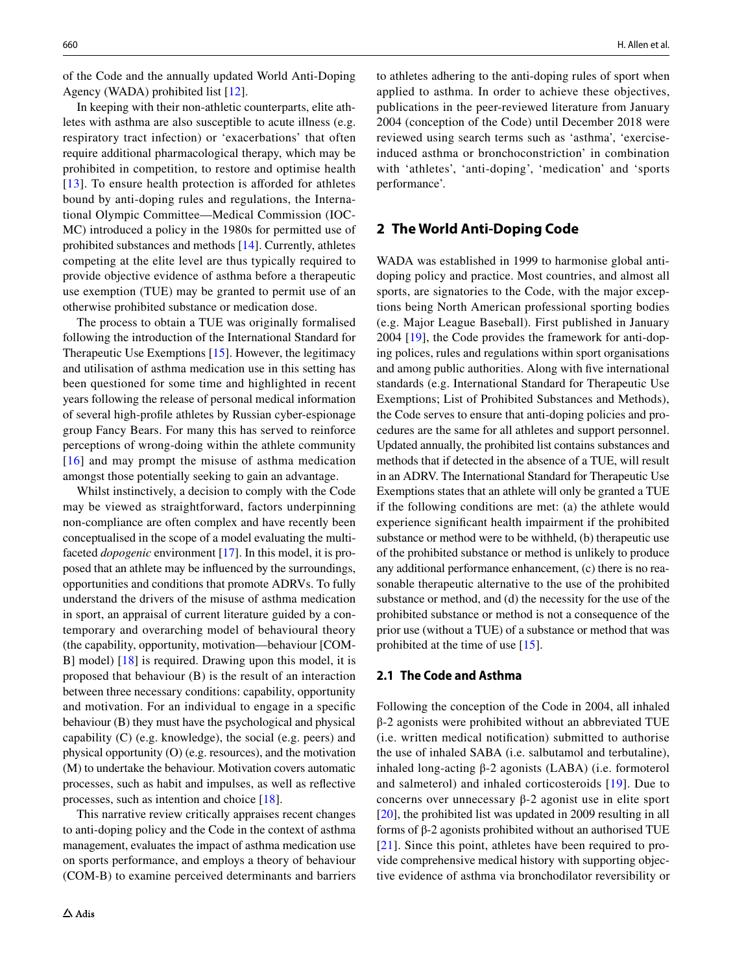of the Code and the annually updated World Anti-Doping Agency (WADA) prohibited list [[12\]](#page-8-1).

In keeping with their non-athletic counterparts, elite athletes with asthma are also susceptible to acute illness (e.g. respiratory tract infection) or 'exacerbations' that often require additional pharmacological therapy, which may be prohibited in competition, to restore and optimise health [[13\]](#page-8-2). To ensure health protection is afforded for athletes bound by anti-doping rules and regulations, the International Olympic Committee—Medical Commission (IOC-MC) introduced a policy in the 1980s for permitted use of prohibited substances and methods [[14](#page-8-3)]. Currently, athletes competing at the elite level are thus typically required to provide objective evidence of asthma before a therapeutic use exemption (TUE) may be granted to permit use of an otherwise prohibited substance or medication dose.

The process to obtain a TUE was originally formalised following the introduction of the International Standard for Therapeutic Use Exemptions [[15](#page-8-4)]. However, the legitimacy and utilisation of asthma medication use in this setting has been questioned for some time and highlighted in recent years following the release of personal medical information of several high-profle athletes by Russian cyber-espionage group Fancy Bears. For many this has served to reinforce perceptions of wrong-doing within the athlete community [[16](#page-8-5)] and may prompt the misuse of asthma medication amongst those potentially seeking to gain an advantage.

Whilst instinctively, a decision to comply with the Code may be viewed as straightforward, factors underpinning non-compliance are often complex and have recently been conceptualised in the scope of a model evaluating the multifaceted *dopogenic* environment [[17\]](#page-8-6). In this model, it is proposed that an athlete may be infuenced by the surroundings, opportunities and conditions that promote ADRVs. To fully understand the drivers of the misuse of asthma medication in sport, an appraisal of current literature guided by a contemporary and overarching model of behavioural theory (the capability, opportunity, motivation—behaviour [COM-B] model) [[18](#page-8-7)] is required. Drawing upon this model, it is proposed that behaviour (B) is the result of an interaction between three necessary conditions: capability, opportunity and motivation. For an individual to engage in a specifc behaviour (B) they must have the psychological and physical capability (C) (e.g. knowledge), the social (e.g. peers) and physical opportunity (O) (e.g. resources), and the motivation (M) to undertake the behaviour. Motivation covers automatic processes, such as habit and impulses, as well as refective processes, such as intention and choice [[18\]](#page-8-7).

This narrative review critically appraises recent changes to anti-doping policy and the Code in the context of asthma management, evaluates the impact of asthma medication use on sports performance, and employs a theory of behaviour (COM-B) to examine perceived determinants and barriers to athletes adhering to the anti-doping rules of sport when applied to asthma. In order to achieve these objectives, publications in the peer-reviewed literature from January 2004 (conception of the Code) until December 2018 were reviewed using search terms such as 'asthma', 'exerciseinduced asthma or bronchoconstriction' in combination with 'athletes', 'anti-doping', 'medication' and 'sports performance'.

## **2 The World Anti‑Doping Code**

WADA was established in 1999 to harmonise global antidoping policy and practice. Most countries, and almost all sports, are signatories to the Code, with the major exceptions being North American professional sporting bodies (e.g. Major League Baseball). First published in January 2004 [[19](#page-8-8)], the Code provides the framework for anti-doping polices, rules and regulations within sport organisations and among public authorities. Along with fve international standards (e.g. International Standard for Therapeutic Use Exemptions; List of Prohibited Substances and Methods), the Code serves to ensure that anti-doping policies and procedures are the same for all athletes and support personnel. Updated annually, the prohibited list contains substances and methods that if detected in the absence of a TUE, will result in an ADRV. The International Standard for Therapeutic Use Exemptions states that an athlete will only be granted a TUE if the following conditions are met: (a) the athlete would experience signifcant health impairment if the prohibited substance or method were to be withheld, (b) therapeutic use of the prohibited substance or method is unlikely to produce any additional performance enhancement, (c) there is no reasonable therapeutic alternative to the use of the prohibited substance or method, and (d) the necessity for the use of the prohibited substance or method is not a consequence of the prior use (without a TUE) of a substance or method that was prohibited at the time of use [\[15](#page-8-4)].

#### **2.1 The Code and Asthma**

Following the conception of the Code in 2004, all inhaled β-2 agonists were prohibited without an abbreviated TUE (i.e. written medical notifcation) submitted to authorise the use of inhaled SABA (i.e. salbutamol and terbutaline), inhaled long-acting β-2 agonists (LABA) (i.e. formoterol and salmeterol) and inhaled corticosteroids [[19](#page-8-8)]. Due to concerns over unnecessary β-2 agonist use in elite sport [[20\]](#page-8-9), the prohibited list was updated in 2009 resulting in all forms of β-2 agonists prohibited without an authorised TUE [[21\]](#page-8-10). Since this point, athletes have been required to provide comprehensive medical history with supporting objective evidence of asthma via bronchodilator reversibility or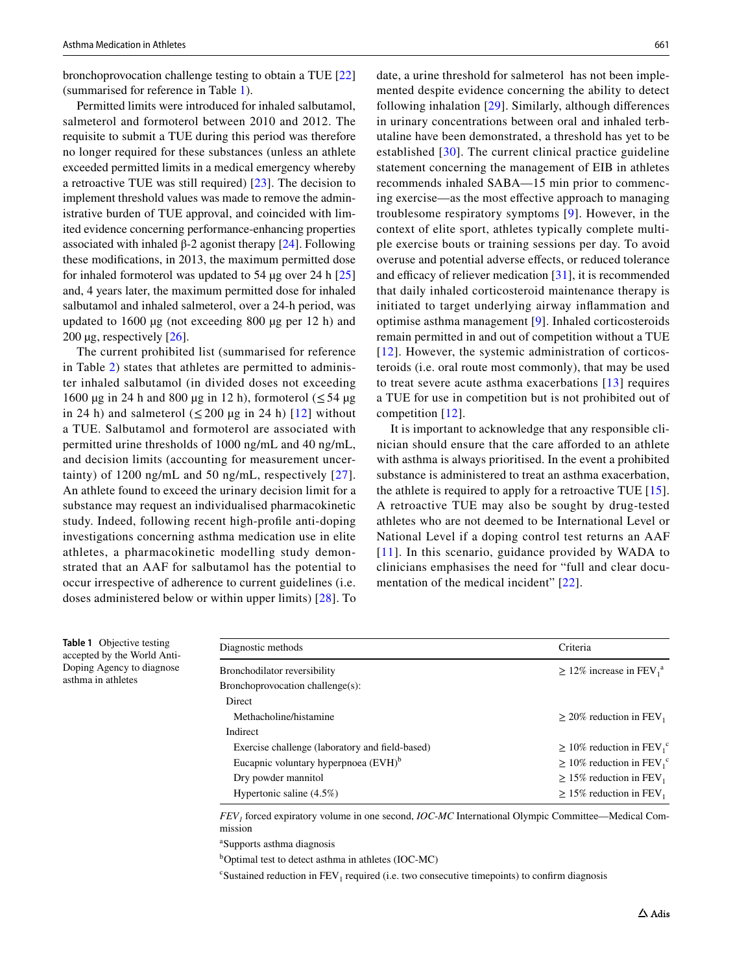bronchoprovocation challenge testing to obtain a TUE [[22\]](#page-8-11) (summarised for reference in Table [1\)](#page-2-0).

Permitted limits were introduced for inhaled salbutamol, salmeterol and formoterol between 2010 and 2012. The requisite to submit a TUE during this period was therefore no longer required for these substances (unless an athlete exceeded permitted limits in a medical emergency whereby a retroactive TUE was still required) [[23](#page-8-12)]. The decision to implement threshold values was made to remove the administrative burden of TUE approval, and coincided with limited evidence concerning performance-enhancing properties associated with inhaled β-2 agonist therapy  $[24]$  $[24]$ . Following these modifcations, in 2013, the maximum permitted dose for inhaled formoterol was updated to 54 µg over 24 h [[25\]](#page-8-14) and, 4 years later, the maximum permitted dose for inhaled salbutamol and inhaled salmeterol, over a 24-h period, was updated to 1600 µg (not exceeding 800 µg per 12 h) and 200  $\mu$ g, respectively [[26](#page-8-15)].

The current prohibited list (summarised for reference in Table [2](#page-3-0)) states that athletes are permitted to administer inhaled salbutamol (in divided doses not exceeding 1600 µg in 24 h and 800 µg in 12 h), formoterol  $( \leq 54 \text{ µg})$ in 24 h) and salmeterol  $(\leq 200 \text{ µg in 24 h})$  [[12](#page-8-1)] without a TUE. Salbutamol and formoterol are associated with permitted urine thresholds of 1000 ng/mL and 40 ng/mL, and decision limits (accounting for measurement uncertainty) of 1200 ng/mL and 50 ng/mL, respectively [[27](#page-8-16)]. An athlete found to exceed the urinary decision limit for a substance may request an individualised pharmacokinetic study. Indeed, following recent high-profle anti-doping investigations concerning asthma medication use in elite athletes, a pharmacokinetic modelling study demonstrated that an AAF for salbutamol has the potential to occur irrespective of adherence to current guidelines (i.e. doses administered below or within upper limits) [\[28\]](#page-8-17). To

<span id="page-2-0"></span>**Table 1** Objective testing accepted by the World Anti-Doping Agency to diagnose

asthma in athletes

date, a urine threshold for salmeterol has not been implemented despite evidence concerning the ability to detect following inhalation [[29](#page-8-18)]. Similarly, although diferences in urinary concentrations between oral and inhaled terbutaline have been demonstrated, a threshold has yet to be established [[30\]](#page-8-19). The current clinical practice guideline statement concerning the management of EIB in athletes recommends inhaled SABA—15 min prior to commencing exercise—as the most efective approach to managing troublesome respiratory symptoms [[9\]](#page-7-6). However, in the context of elite sport, athletes typically complete multiple exercise bouts or training sessions per day. To avoid overuse and potential adverse efects, or reduced tolerance and efficacy of reliever medication  $[31]$ , it is recommended that daily inhaled corticosteroid maintenance therapy is initiated to target underlying airway infammation and optimise asthma management [\[9](#page-7-6)]. Inhaled corticosteroids remain permitted in and out of competition without a TUE [[12](#page-8-1)]. However, the systemic administration of corticosteroids (i.e. oral route most commonly), that may be used to treat severe acute asthma exacerbations [[13\]](#page-8-2) requires a TUE for use in competition but is not prohibited out of competition [[12](#page-8-1)].

It is important to acknowledge that any responsible clinician should ensure that the care aforded to an athlete with asthma is always prioritised. In the event a prohibited substance is administered to treat an asthma exacerbation, the athlete is required to apply for a retroactive TUE [[15](#page-8-4)]. A retroactive TUE may also be sought by drug-tested athletes who are not deemed to be International Level or National Level if a doping control test returns an AAF [[11](#page-8-0)]. In this scenario, guidance provided by WADA to clinicians emphasises the need for "full and clear documentation of the medical incident" [\[22\]](#page-8-11).

| Diagnostic methods                               | Criteria                                               |
|--------------------------------------------------|--------------------------------------------------------|
| Bronchodilator reversibility                     | $\geq$ 12% increase in FEV <sub>1</sub> <sup>a</sup>   |
| Bronchoprovocation challenge(s):                 |                                                        |
| Direct                                           |                                                        |
| Methacholine/histamine                           | $\geq$ 20% reduction in FEV <sub>1</sub>               |
| Indirect                                         |                                                        |
| Exercise challenge (laboratory and field-based)  | $\geq 10\%$ reduction in FEV <sub>1</sub> <sup>c</sup> |
| Eucapnic voluntary hyperpnoea (EVH) <sup>b</sup> | $\geq 10\%$ reduction in FEV <sub>1</sub> <sup>c</sup> |
| Dry powder mannitol                              | $\geq$ 15% reduction in FEV <sub>1</sub>               |
| Hypertonic saline $(4.5\%)$                      | $\geq$ 15% reduction in FEV <sub>1</sub>               |

*FEV1* forced expiratory volume in one second, *IOC*-*MC* International Olympic Committee—Medical Commission

a Supports asthma diagnosis

b Optimal test to detect asthma in athletes (IOC-MC)

 $c$ Sustained reduction in  $FEV<sub>1</sub>$  required (i.e. two consecutive timepoints) to confirm diagnosis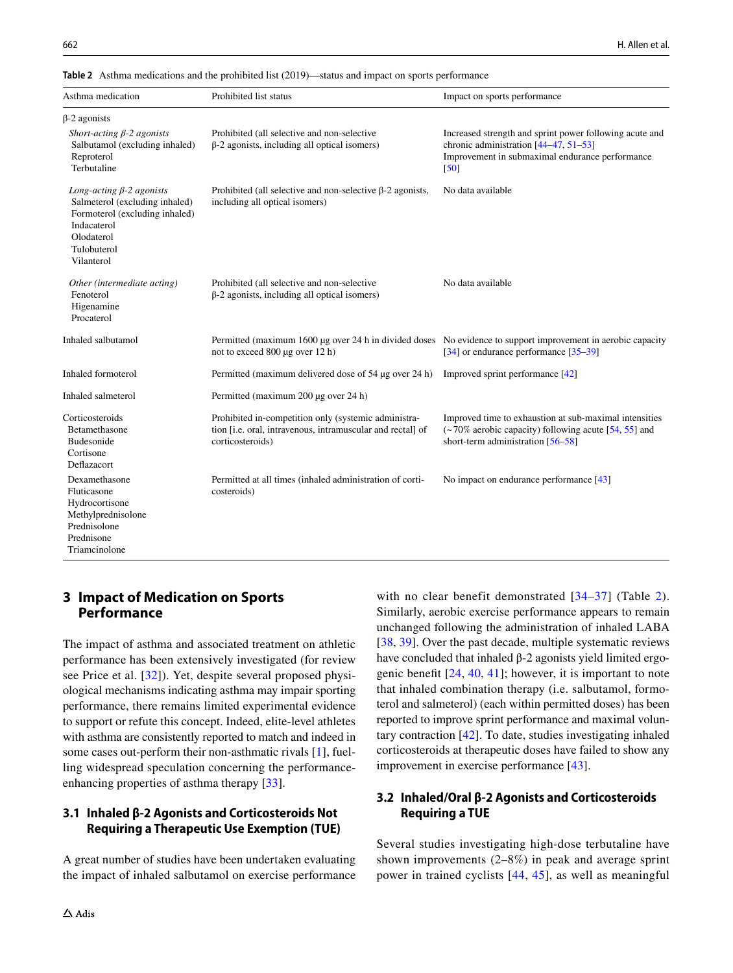<span id="page-3-0"></span>**Table 2** Asthma medications and the prohibited list (2019)—status and impact on sports performance

| Asthma medication                                                                                                                                             | Prohibited list status                                                                                                                          | Impact on sports performance                                                                                                                                |
|---------------------------------------------------------------------------------------------------------------------------------------------------------------|-------------------------------------------------------------------------------------------------------------------------------------------------|-------------------------------------------------------------------------------------------------------------------------------------------------------------|
| $\beta$ -2 agonists                                                                                                                                           |                                                                                                                                                 |                                                                                                                                                             |
| Short-acting $\beta$ -2 agonists<br>Salbutamol (excluding inhaled)<br>Reproterol<br>Terbutaline                                                               | Prohibited (all selective and non-selective<br>$\beta$ -2 agonists, including all optical isomers)                                              | Increased strength and sprint power following acute and<br>chronic administration [44-47, 51-53]<br>Improvement in submaximal endurance performance<br>[50] |
| Long-acting $\beta$ -2 agonists<br>Salmeterol (excluding inhaled)<br>Formoterol (excluding inhaled)<br>Indacaterol<br>Olodaterol<br>Tulobuterol<br>Vilanterol | Prohibited (all selective and non-selective $\beta$ -2 agonists,<br>including all optical isomers)                                              | No data available                                                                                                                                           |
| Other (intermediate acting)<br>Fenoterol<br>Higenamine<br>Procaterol                                                                                          | Prohibited (all selective and non-selective<br>$\beta$ -2 agonists, including all optical isomers)                                              | No data available                                                                                                                                           |
| Inhaled salbutamol                                                                                                                                            | Permitted (maximum 1600 µg over 24 h in divided doses No evidence to support improvement in aerobic capacity<br>not to exceed 800 µg over 12 h) | $[34]$ or endurance performance $[35-39]$                                                                                                                   |
| Inhaled formoterol                                                                                                                                            | Permitted (maximum delivered dose of 54 µg over 24 h)                                                                                           | Improved sprint performance [42]                                                                                                                            |
| Inhaled salmeterol                                                                                                                                            | Permitted (maximum 200 µg over 24 h)                                                                                                            |                                                                                                                                                             |
| Corticosteroids<br>Betamethasone<br>Budesonide<br>Cortisone<br>Deflazacort                                                                                    | Prohibited in-competition only (systemic administra-<br>tion [i.e. oral, intravenous, intramuscular and rectal] of<br>corticosteroids)          | Improved time to exhaustion at sub-maximal intensities<br>(~70% aerobic capacity) following acute [54, 55] and<br>short-term administration $[56-58]$       |
| Dexamethasone<br>Fluticasone<br>Hydrocortisone<br>Methylprednisolone<br>Prednisolone<br>Prednisone<br>Triamcinolone                                           | Permitted at all times (inhaled administration of corti-<br>costeroids)                                                                         | No impact on endurance performance [43]                                                                                                                     |

# **3 Impact of Medication on Sports Performance**

The impact of asthma and associated treatment on athletic performance has been extensively investigated (for review see Price et al. [[32](#page-8-21)]). Yet, despite several proposed physiological mechanisms indicating asthma may impair sporting performance, there remains limited experimental evidence to support or refute this concept. Indeed, elite-level athletes with asthma are consistently reported to match and indeed in some cases out-perform their non-asthmatic rivals [[1](#page-7-0)], fuelling widespread speculation concerning the performanceenhancing properties of asthma therapy [\[33](#page-8-22)].

# **3.1 Inhaled β‑2 Agonists and Corticosteroids Not Requiring a Therapeutic Use Exemption (TUE)**

A great number of studies have been undertaken evaluating the impact of inhaled salbutamol on exercise performance with no clear benefit demonstrated [\[34–](#page-8-23)[37\]](#page-8-24) (Table [2](#page-3-0)). Similarly, aerobic exercise performance appears to remain unchanged following the administration of inhaled LABA [[38,](#page-8-25) [39\]](#page-8-26). Over the past decade, multiple systematic reviews have concluded that inhaled  $β$ -2 agonists yield limited ergogenic beneft [[24](#page-8-13), [40,](#page-8-27) [41](#page-8-28)]; however, it is important to note that inhaled combination therapy (i.e. salbutamol, formoterol and salmeterol) (each within permitted doses) has been reported to improve sprint performance and maximal voluntary contraction [\[42](#page-8-29)]. To date, studies investigating inhaled corticosteroids at therapeutic doses have failed to show any improvement in exercise performance [\[43](#page-8-30)].

# **3.2 Inhaled/Oral β‑2 Agonists and Corticosteroids Requiring a TUE**

Several studies investigating high-dose terbutaline have shown improvements (2–8%) in peak and average sprint power in trained cyclists [\[44,](#page-8-31) [45\]](#page-8-32), as well as meaningful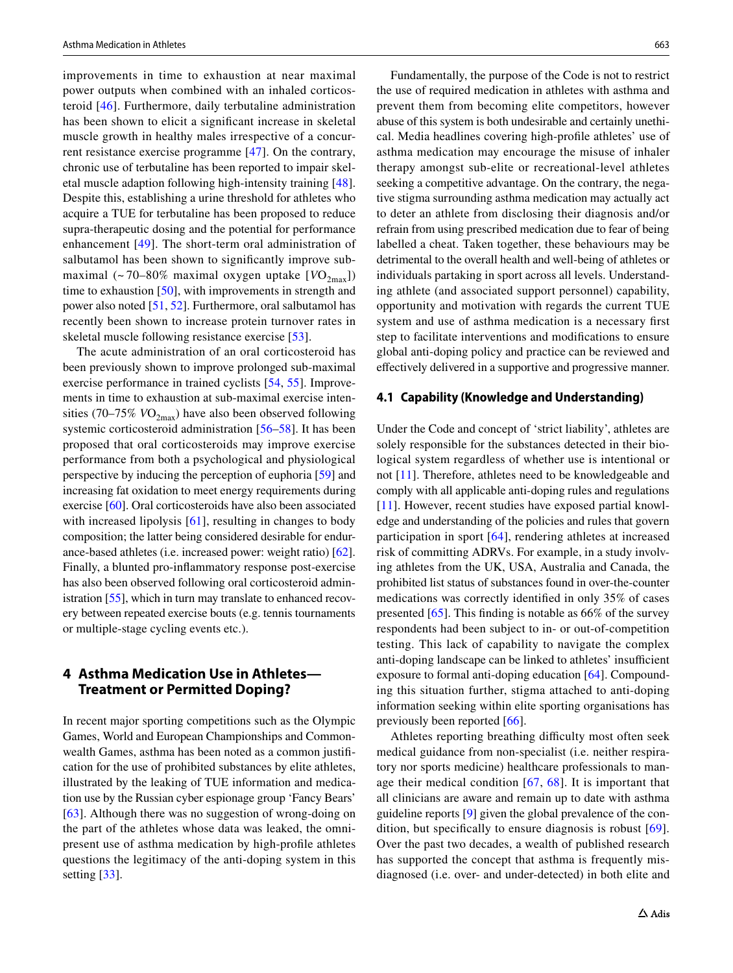improvements in time to exhaustion at near maximal power outputs when combined with an inhaled corticosteroid [[46\]](#page-8-35). Furthermore, daily terbutaline administration has been shown to elicit a signifcant increase in skeletal muscle growth in healthy males irrespective of a concurrent resistance exercise programme [[47\]](#page-8-33). On the contrary, chronic use of terbutaline has been reported to impair skeletal muscle adaption following high-intensity training [\[48](#page-9-7)]. Despite this, establishing a urine threshold for athletes who acquire a TUE for terbutaline has been proposed to reduce supra-therapeutic dosing and the potential for performance enhancement [\[49\]](#page-9-8). The short-term oral administration of salbutamol has been shown to signifcantly improve submaximal  $\left(\sim 70-80\%$  maximal oxygen uptake  $[VO_{2max}]\right)$ time to exhaustion [[50\]](#page-9-2), with improvements in strength and power also noted [[51,](#page-9-0) [52\]](#page-9-9). Furthermore, oral salbutamol has recently been shown to increase protein turnover rates in skeletal muscle following resistance exercise [\[53\]](#page-9-1).

The acute administration of an oral corticosteroid has been previously shown to improve prolonged sub-maximal exercise performance in trained cyclists [[54](#page-9-3), [55](#page-9-4)]. Improvements in time to exhaustion at sub-maximal exercise intensities (70–75%  $VO_{2\text{max}}$ ) have also been observed following systemic corticosteroid administration [\[56–](#page-9-5)[58\]](#page-9-6). It has been proposed that oral corticosteroids may improve exercise performance from both a psychological and physiological perspective by inducing the perception of euphoria [\[59](#page-9-10)] and increasing fat oxidation to meet energy requirements during exercise [[60\]](#page-9-11). Oral corticosteroids have also been associated with increased lipolysis [\[61](#page-9-12)], resulting in changes to body composition; the latter being considered desirable for endurance-based athletes (i.e. increased power: weight ratio) [\[62](#page-9-13)]. Finally, a blunted pro-infammatory response post-exercise has also been observed following oral corticosteroid administration [[55](#page-9-4)], which in turn may translate to enhanced recovery between repeated exercise bouts (e.g. tennis tournaments or multiple-stage cycling events etc.).

## **4 Asthma Medication Use in Athletes— Treatment or Permitted Doping?**

In recent major sporting competitions such as the Olympic Games, World and European Championships and Commonwealth Games, asthma has been noted as a common justifcation for the use of prohibited substances by elite athletes, illustrated by the leaking of TUE information and medication use by the Russian cyber espionage group 'Fancy Bears' [\[63\]](#page-9-14). Although there was no suggestion of wrong-doing on the part of the athletes whose data was leaked, the omnipresent use of asthma medication by high-profle athletes questions the legitimacy of the anti-doping system in this setting [[33\]](#page-8-22).

Fundamentally, the purpose of the Code is not to restrict the use of required medication in athletes with asthma and prevent them from becoming elite competitors, however abuse of this system is both undesirable and certainly unethical. Media headlines covering high-profle athletes' use of asthma medication may encourage the misuse of inhaler therapy amongst sub-elite or recreational-level athletes seeking a competitive advantage. On the contrary, the negative stigma surrounding asthma medication may actually act to deter an athlete from disclosing their diagnosis and/or refrain from using prescribed medication due to fear of being labelled a cheat. Taken together, these behaviours may be detrimental to the overall health and well-being of athletes or individuals partaking in sport across all levels. Understanding athlete (and associated support personnel) capability, opportunity and motivation with regards the current TUE system and use of asthma medication is a necessary frst step to facilitate interventions and modifcations to ensure global anti-doping policy and practice can be reviewed and efectively delivered in a supportive and progressive manner.

#### **4.1 Capability (Knowledge and Understanding)**

Under the Code and concept of 'strict liability', athletes are solely responsible for the substances detected in their biological system regardless of whether use is intentional or not [[11](#page-8-0)]. Therefore, athletes need to be knowledgeable and comply with all applicable anti-doping rules and regulations [[11\]](#page-8-0). However, recent studies have exposed partial knowledge and understanding of the policies and rules that govern participation in sport [\[64\]](#page-9-15), rendering athletes at increased risk of committing ADRVs. For example, in a study involving athletes from the UK, USA, Australia and Canada, the prohibited list status of substances found in over-the-counter medications was correctly identifed in only 35% of cases presented [[65\]](#page-9-16). This fnding is notable as 66% of the survey respondents had been subject to in- or out-of-competition testing. This lack of capability to navigate the complex anti-doping landscape can be linked to athletes' insufficient exposure to formal anti-doping education [[64](#page-9-15)]. Compounding this situation further, stigma attached to anti-doping information seeking within elite sporting organisations has previously been reported [\[66](#page-9-17)].

Athletes reporting breathing difficulty most often seek medical guidance from non-specialist (i.e. neither respiratory nor sports medicine) healthcare professionals to manage their medical condition [[67,](#page-9-18) [68](#page-9-19)]. It is important that all clinicians are aware and remain up to date with asthma guideline reports [\[9](#page-7-6)] given the global prevalence of the condition, but specifcally to ensure diagnosis is robust [[69](#page-9-20)]. Over the past two decades, a wealth of published research has supported the concept that asthma is frequently misdiagnosed (i.e. over- and under-detected) in both elite and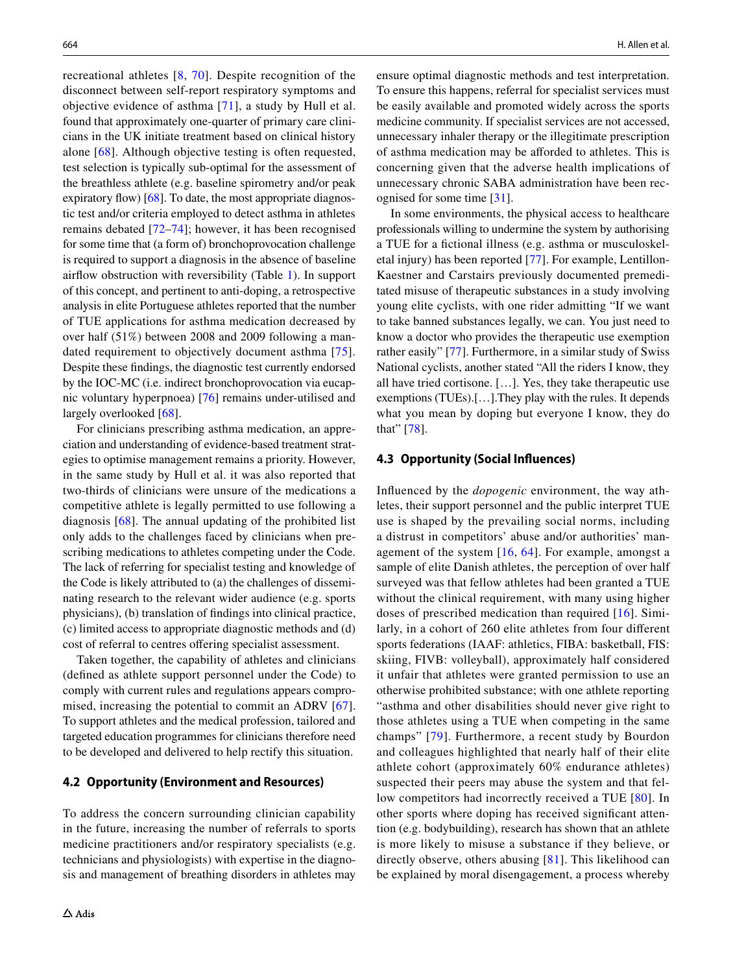recreational athletes [\[8,](#page-7-5) [70](#page-9-21)]. Despite recognition of the disconnect between self-report respiratory symptoms and objective evidence of asthma [\[71\]](#page-9-22), a study by Hull et al. found that approximately one-quarter of primary care clinicians in the UK initiate treatment based on clinical history alone [[68](#page-9-19)]. Although objective testing is often requested, test selection is typically sub-optimal for the assessment of the breathless athlete (e.g. baseline spirometry and/or peak expiratory flow)  $[68]$ . To date, the most appropriate diagnostic test and/or criteria employed to detect asthma in athletes remains debated [\[72](#page-9-23)[–74\]](#page-9-24); however, it has been recognised for some time that (a form of) bronchoprovocation challenge is required to support a diagnosis in the absence of baseline airfow obstruction with reversibility (Table [1](#page-2-0)). In support of this concept, and pertinent to anti-doping, a retrospective analysis in elite Portuguese athletes reported that the number of TUE applications for asthma medication decreased by over half (51%) between 2008 and 2009 following a mandated requirement to objectively document asthma [[75\]](#page-9-25). Despite these fndings, the diagnostic test currently endorsed by the IOC-MC (i.e. indirect bronchoprovocation via eucapnic voluntary hyperpnoea) [[76\]](#page-9-26) remains under-utilised and largely overlooked [[68\]](#page-9-19).

For clinicians prescribing asthma medication, an appreciation and understanding of evidence-based treatment strategies to optimise management remains a priority. However, in the same study by Hull et al. it was also reported that two-thirds of clinicians were unsure of the medications a competitive athlete is legally permitted to use following a diagnosis [\[68\]](#page-9-19). The annual updating of the prohibited list only adds to the challenges faced by clinicians when prescribing medications to athletes competing under the Code. The lack of referring for specialist testing and knowledge of the Code is likely attributed to (a) the challenges of disseminating research to the relevant wider audience (e.g. sports physicians), (b) translation of fndings into clinical practice, (c) limited access to appropriate diagnostic methods and (d) cost of referral to centres ofering specialist assessment.

Taken together, the capability of athletes and clinicians (defned as athlete support personnel under the Code) to comply with current rules and regulations appears compro-mised, increasing the potential to commit an ADRV [[67](#page-9-18)]. To support athletes and the medical profession, tailored and targeted education programmes for clinicians therefore need to be developed and delivered to help rectify this situation.

#### **4.2 Opportunity (Environment and Resources)**

To address the concern surrounding clinician capability in the future, increasing the number of referrals to sports medicine practitioners and/or respiratory specialists (e.g. technicians and physiologists) with expertise in the diagnosis and management of breathing disorders in athletes may

ensure optimal diagnostic methods and test interpretation. To ensure this happens, referral for specialist services must be easily available and promoted widely across the sports medicine community. If specialist services are not accessed, unnecessary inhaler therapy or the illegitimate prescription of asthma medication may be aforded to athletes. This is concerning given that the adverse health implications of unnecessary chronic SABA administration have been recognised for some time [\[31\]](#page-8-20).

In some environments, the physical access to healthcare professionals willing to undermine the system by authorising a TUE for a fctional illness (e.g. asthma or musculoskeletal injury) has been reported [\[77](#page-9-27)]. For example, Lentillon-Kaestner and Carstairs previously documented premeditated misuse of therapeutic substances in a study involving young elite cyclists, with one rider admitting "If we want to take banned substances legally, we can. You just need to know a doctor who provides the therapeutic use exemption rather easily" [\[77](#page-9-27)]. Furthermore, in a similar study of Swiss National cyclists, another stated "All the riders I know, they all have tried cortisone. […]. Yes, they take therapeutic use exemptions (TUEs).[…].They play with the rules. It depends what you mean by doping but everyone I know, they do that" [[78\]](#page-9-28).

#### **4.3 Opportunity (Social Infuences)**

Infuenced by the *dopogenic* environment, the way athletes, their support personnel and the public interpret TUE use is shaped by the prevailing social norms, including a distrust in competitors' abuse and/or authorities' management of the system [\[16,](#page-8-5) [64](#page-9-15)]. For example, amongst a sample of elite Danish athletes, the perception of over half surveyed was that fellow athletes had been granted a TUE without the clinical requirement, with many using higher doses of prescribed medication than required [[16](#page-8-5)]. Similarly, in a cohort of 260 elite athletes from four diferent sports federations (IAAF: athletics, FIBA: basketball, FIS: skiing, FIVB: volleyball), approximately half considered it unfair that athletes were granted permission to use an otherwise prohibited substance; with one athlete reporting "asthma and other disabilities should never give right to those athletes using a TUE when competing in the same champs" [[79\]](#page-9-29). Furthermore, a recent study by Bourdon and colleagues highlighted that nearly half of their elite athlete cohort (approximately 60% endurance athletes) suspected their peers may abuse the system and that fellow competitors had incorrectly received a TUE [[80](#page-9-30)]. In other sports where doping has received signifcant attention (e.g. bodybuilding), research has shown that an athlete is more likely to misuse a substance if they believe, or directly observe, others abusing [[81](#page-9-31)]. This likelihood can be explained by moral disengagement, a process whereby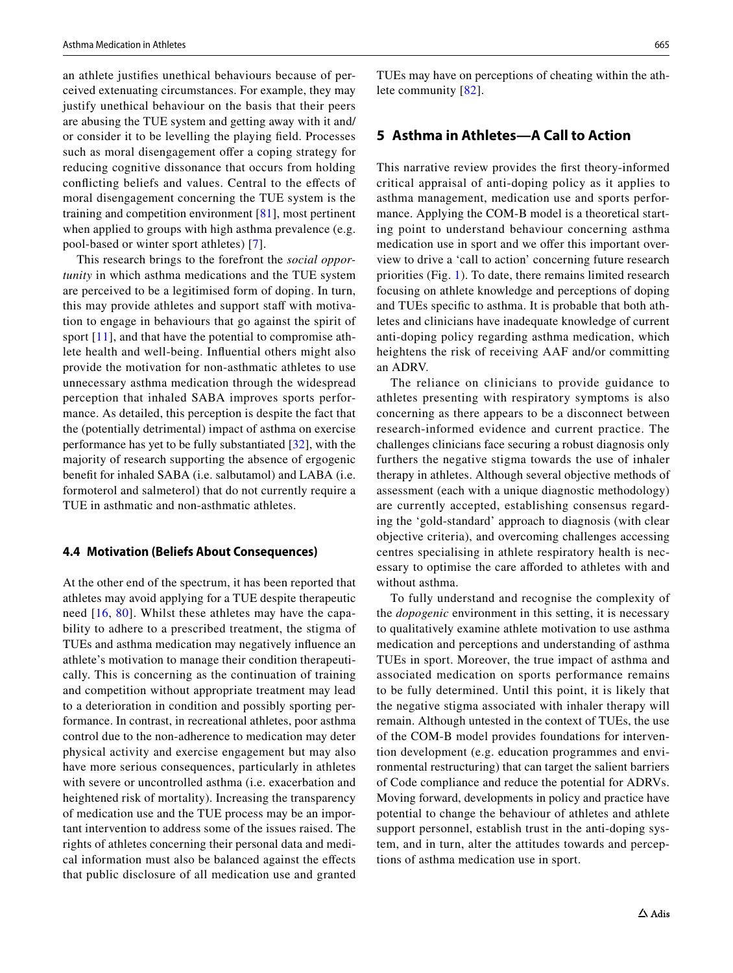an athlete justifes unethical behaviours because of perceived extenuating circumstances. For example, they may justify unethical behaviour on the basis that their peers are abusing the TUE system and getting away with it and/ or consider it to be levelling the playing feld. Processes such as moral disengagement offer a coping strategy for reducing cognitive dissonance that occurs from holding conficting beliefs and values. Central to the efects of moral disengagement concerning the TUE system is the training and competition environment [\[81\]](#page-9-31), most pertinent when applied to groups with high asthma prevalence (e.g. pool-based or winter sport athletes) [\[7](#page-7-4)].

This research brings to the forefront the *social opportunity* in which asthma medications and the TUE system are perceived to be a legitimised form of doping. In turn, this may provide athletes and support staff with motivation to engage in behaviours that go against the spirit of sport [[11\]](#page-8-0), and that have the potential to compromise athlete health and well-being. Infuential others might also provide the motivation for non-asthmatic athletes to use unnecessary asthma medication through the widespread perception that inhaled SABA improves sports performance. As detailed, this perception is despite the fact that the (potentially detrimental) impact of asthma on exercise performance has yet to be fully substantiated [[32\]](#page-8-21), with the majority of research supporting the absence of ergogenic beneft for inhaled SABA (i.e. salbutamol) and LABA (i.e. formoterol and salmeterol) that do not currently require a TUE in asthmatic and non-asthmatic athletes.

#### **4.4 Motivation (Beliefs About Consequences)**

At the other end of the spectrum, it has been reported that athletes may avoid applying for a TUE despite therapeutic need [[16](#page-8-5), [80\]](#page-9-30). Whilst these athletes may have the capability to adhere to a prescribed treatment, the stigma of TUEs and asthma medication may negatively infuence an athlete's motivation to manage their condition therapeutically. This is concerning as the continuation of training and competition without appropriate treatment may lead to a deterioration in condition and possibly sporting performance. In contrast, in recreational athletes, poor asthma control due to the non-adherence to medication may deter physical activity and exercise engagement but may also have more serious consequences, particularly in athletes with severe or uncontrolled asthma (i.e. exacerbation and heightened risk of mortality). Increasing the transparency of medication use and the TUE process may be an important intervention to address some of the issues raised. The rights of athletes concerning their personal data and medical information must also be balanced against the efects that public disclosure of all medication use and granted TUEs may have on perceptions of cheating within the athlete community [[82\]](#page-9-32).

## **5 Asthma in Athletes—A Call to Action**

This narrative review provides the frst theory-informed critical appraisal of anti-doping policy as it applies to asthma management, medication use and sports performance. Applying the COM-B model is a theoretical starting point to understand behaviour concerning asthma medication use in sport and we offer this important overview to drive a 'call to action' concerning future research priorities (Fig. [1](#page-7-8)). To date, there remains limited research focusing on athlete knowledge and perceptions of doping and TUEs specifc to asthma. It is probable that both athletes and clinicians have inadequate knowledge of current anti-doping policy regarding asthma medication, which heightens the risk of receiving AAF and/or committing an ADRV.

The reliance on clinicians to provide guidance to athletes presenting with respiratory symptoms is also concerning as there appears to be a disconnect between research-informed evidence and current practice. The challenges clinicians face securing a robust diagnosis only furthers the negative stigma towards the use of inhaler therapy in athletes. Although several objective methods of assessment (each with a unique diagnostic methodology) are currently accepted, establishing consensus regarding the 'gold-standard' approach to diagnosis (with clear objective criteria), and overcoming challenges accessing centres specialising in athlete respiratory health is necessary to optimise the care aforded to athletes with and without asthma.

To fully understand and recognise the complexity of the *dopogenic* environment in this setting, it is necessary to qualitatively examine athlete motivation to use asthma medication and perceptions and understanding of asthma TUEs in sport. Moreover, the true impact of asthma and associated medication on sports performance remains to be fully determined. Until this point, it is likely that the negative stigma associated with inhaler therapy will remain. Although untested in the context of TUEs, the use of the COM-B model provides foundations for intervention development (e.g. education programmes and environmental restructuring) that can target the salient barriers of Code compliance and reduce the potential for ADRVs. Moving forward, developments in policy and practice have potential to change the behaviour of athletes and athlete support personnel, establish trust in the anti-doping system, and in turn, alter the attitudes towards and perceptions of asthma medication use in sport.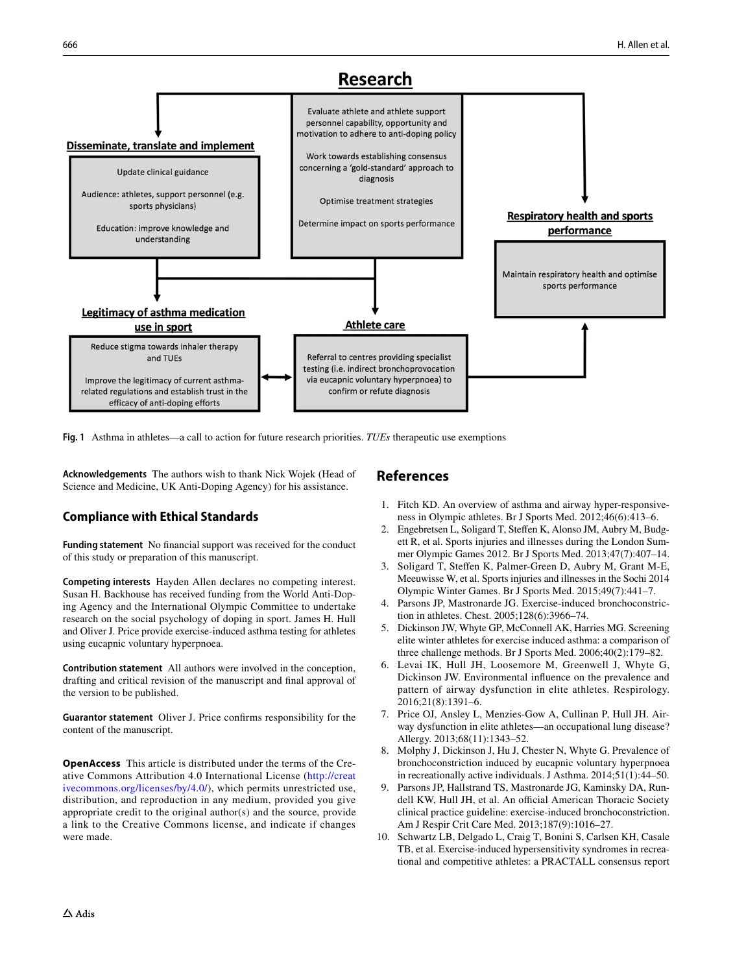

<span id="page-7-8"></span>**Fig. 1** Asthma in athletes—a call to action for future research priorities. *TUEs* therapeutic use exemptions

**Acknowledgements** The authors wish to thank Nick Wojek (Head of Science and Medicine, UK Anti-Doping Agency) for his assistance.

## **Compliance with Ethical Standards**

**Funding statement** No fnancial support was received for the conduct of this study or preparation of this manuscript.

**Competing interests** Hayden Allen declares no competing interest. Susan H. Backhouse has received funding from the World Anti-Doping Agency and the International Olympic Committee to undertake research on the social psychology of doping in sport. James H. Hull and Oliver J. Price provide exercise-induced asthma testing for athletes using eucapnic voluntary hyperpnoea.

**Contribution statement** All authors were involved in the conception, drafting and critical revision of the manuscript and fnal approval of the version to be published.

**Guarantor statement** Oliver J. Price confrms responsibility for the content of the manuscript.

**OpenAccess** This article is distributed under the terms of the Creative Commons Attribution 4.0 International License ([http://creat](http://creativecommons.org/licenses/by/4.0/) [ivecommons.org/licenses/by/4.0/\)](http://creativecommons.org/licenses/by/4.0/), which permits unrestricted use, distribution, and reproduction in any medium, provided you give appropriate credit to the original author(s) and the source, provide a link to the Creative Commons license, and indicate if changes were made.

# **References**

- <span id="page-7-0"></span>1. Fitch KD. An overview of asthma and airway hyper-responsiveness in Olympic athletes. Br J Sports Med. 2012;46(6):413–6.
- 2. Engebretsen L, Soligard T, Stefen K, Alonso JM, Aubry M, Budgett R, et al. Sports injuries and illnesses during the London Summer Olympic Games 2012. Br J Sports Med. 2013;47(7):407–14.
- <span id="page-7-1"></span>3. Soligard T, Stefen K, Palmer-Green D, Aubry M, Grant M-E, Meeuwisse W, et al. Sports injuries and illnesses in the Sochi 2014 Olympic Winter Games. Br J Sports Med. 2015;49(7):441–7.
- <span id="page-7-2"></span>4. Parsons JP, Mastronarde JG. Exercise-induced bronchoconstriction in athletes. Chest. 2005;128(6):3966–74.
- 5. Dickinson JW, Whyte GP, McConnell AK, Harries MG. Screening elite winter athletes for exercise induced asthma: a comparison of three challenge methods. Br J Sports Med. 2006;40(2):179–82.
- <span id="page-7-3"></span>6. Levai IK, Hull JH, Loosemore M, Greenwell J, Whyte G, Dickinson JW. Environmental infuence on the prevalence and pattern of airway dysfunction in elite athletes. Respirology. 2016;21(8):1391–6.
- <span id="page-7-4"></span>7. Price OJ, Ansley L, Menzies-Gow A, Cullinan P, Hull JH. Airway dysfunction in elite athletes—an occupational lung disease? Allergy. 2013;68(11):1343–52.
- <span id="page-7-5"></span>8. Molphy J, Dickinson J, Hu J, Chester N, Whyte G. Prevalence of bronchoconstriction induced by eucapnic voluntary hyperpnoea in recreationally active individuals. J Asthma. 2014;51(1):44–50.
- <span id="page-7-6"></span>9. Parsons JP, Hallstrand TS, Mastronarde JG, Kaminsky DA, Rundell KW, Hull JH, et al. An official American Thoracic Society clinical practice guideline: exercise-induced bronchoconstriction. Am J Respir Crit Care Med. 2013;187(9):1016–27.
- <span id="page-7-7"></span>10. Schwartz LB, Delgado L, Craig T, Bonini S, Carlsen KH, Casale TB, et al. Exercise-induced hypersensitivity syndromes in recreational and competitive athletes: a PRACTALL consensus report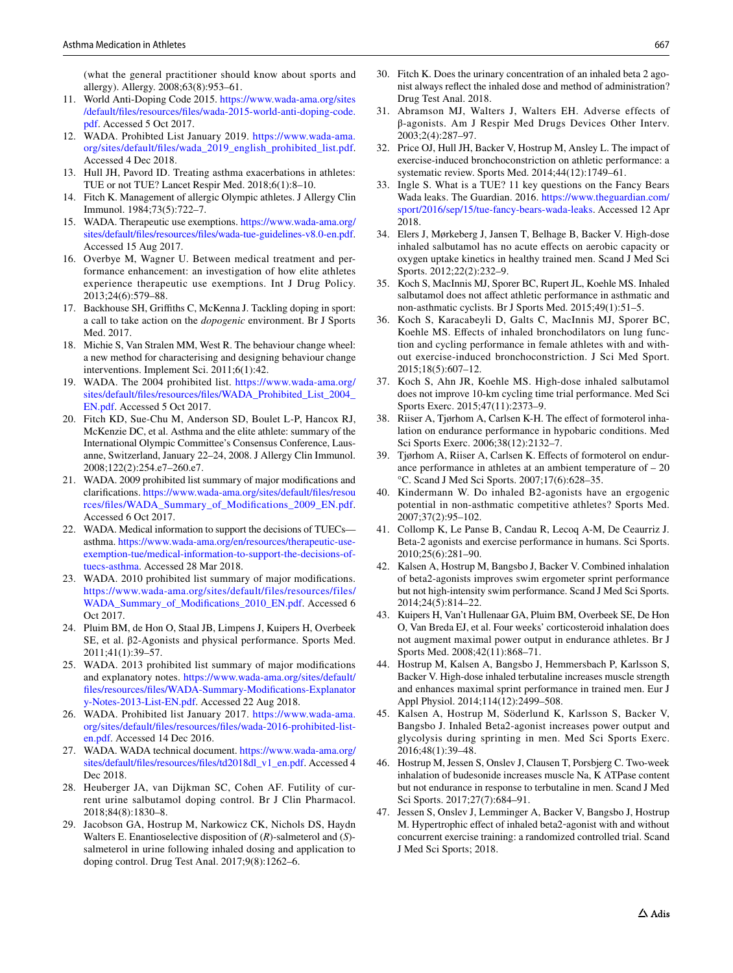(what the general practitioner should know about sports and allergy). Allergy. 2008;63(8):953–61.

- <span id="page-8-0"></span>11. World Anti-Doping Code 2015. [https://www.wada-ama.org/sites](https://www.wada-ama.org/sites/default/files/resources/files/wada-2015-world-anti-doping-code.pdf) [/default/fles/resources/fles/wada-2015-world-anti-doping-code.](https://www.wada-ama.org/sites/default/files/resources/files/wada-2015-world-anti-doping-code.pdf) [pdf](https://www.wada-ama.org/sites/default/files/resources/files/wada-2015-world-anti-doping-code.pdf). Accessed 5 Oct 2017.
- <span id="page-8-1"></span>12. WADA. Prohibted List January 2019. [https://www.wada-ama.](https://www.wada-ama.org/sites/default/files/wada_2019_english_prohibited_list.pdf) [org/sites/default/fles/wada\\_2019\\_english\\_prohibited\\_list.pdf](https://www.wada-ama.org/sites/default/files/wada_2019_english_prohibited_list.pdf). Accessed 4 Dec 2018.
- <span id="page-8-2"></span>13. Hull JH, Pavord ID. Treating asthma exacerbations in athletes: TUE or not TUE? Lancet Respir Med. 2018;6(1):8–10.
- <span id="page-8-3"></span>14. Fitch K. Management of allergic Olympic athletes. J Allergy Clin Immunol. 1984;73(5):722–7.
- <span id="page-8-4"></span>15. WADA. Therapeutic use exemptions. [https://www.wada-ama.org/](https://www.wada-ama.org/sites/default/files/resources/files/wada-tue-guidelines-v8.0-en.pdf) [sites/default/fles/resources/fles/wada-tue-guidelines-v8.0-en.pdf.](https://www.wada-ama.org/sites/default/files/resources/files/wada-tue-guidelines-v8.0-en.pdf) Accessed 15 Aug 2017.
- <span id="page-8-5"></span>16. Overbye M, Wagner U. Between medical treatment and performance enhancement: an investigation of how elite athletes experience therapeutic use exemptions. Int J Drug Policy. 2013;24(6):579–88.
- <span id="page-8-6"></span>17. Backhouse SH, Grifths C, McKenna J. Tackling doping in sport: a call to take action on the *dopogenic* environment. Br J Sports Med. 2017.
- <span id="page-8-7"></span>18. Michie S, Van Stralen MM, West R. The behaviour change wheel: a new method for characterising and designing behaviour change interventions. Implement Sci. 2011;6(1):42.
- <span id="page-8-8"></span>19. WADA. The 2004 prohibited list. [https://www.wada-ama.org/](https://www.wada-ama.org/sites/default/files/resources/files/WADA_Prohibited_List_2004_EN.pdf) [sites/default/fles/resources/fles/WADA\\_Prohibited\\_List\\_2004\\_](https://www.wada-ama.org/sites/default/files/resources/files/WADA_Prohibited_List_2004_EN.pdf) [EN.pdf.](https://www.wada-ama.org/sites/default/files/resources/files/WADA_Prohibited_List_2004_EN.pdf) Accessed 5 Oct 2017.
- <span id="page-8-9"></span>20. Fitch KD, Sue-Chu M, Anderson SD, Boulet L-P, Hancox RJ, McKenzie DC, et al. Asthma and the elite athlete: summary of the International Olympic Committee's Consensus Conference, Lausanne, Switzerland, January 22–24, 2008. J Allergy Clin Immunol. 2008;122(2):254.e7–260.e7.
- <span id="page-8-10"></span>21. WADA. 2009 prohibited list summary of major modifcations and clarifcations. [https://www.wada-ama.org/sites/default/fles/resou](https://www.wada-ama.org/sites/default/files/resources/files/WADA_Summary_of_Modifications_2009_EN.pdf) [rces/fles/WADA\\_Summary\\_of\\_Modifications\\_2009\\_EN.pdf](https://www.wada-ama.org/sites/default/files/resources/files/WADA_Summary_of_Modifications_2009_EN.pdf). Accessed 6 Oct 2017.
- <span id="page-8-11"></span>22. WADA. Medical information to support the decisions of TUECs asthma. [https://www.wada-ama.org/en/resources/therapeutic-use](https://www.wada-ama.org/en/resources/therapeutic-use-exemption-tue/medical-information-to-support-the-decisions-of-tuecs-asthma)[exemption-tue/medical-information-to-support-the-decisions-of](https://www.wada-ama.org/en/resources/therapeutic-use-exemption-tue/medical-information-to-support-the-decisions-of-tuecs-asthma)[tuecs-asthma.](https://www.wada-ama.org/en/resources/therapeutic-use-exemption-tue/medical-information-to-support-the-decisions-of-tuecs-asthma) Accessed 28 Mar 2018.
- <span id="page-8-12"></span>23. WADA. 2010 prohibited list summary of major modifcations. [https://www.wada-ama.org/sites/default/files/resources/files/](https://www.wada-ama.org/sites/default/files/resources/files/WADA_Summary_of_Modifications_2010_EN.pdf) [WADA\\_Summary\\_of\\_Modifications\\_2010\\_EN.pdf.](https://www.wada-ama.org/sites/default/files/resources/files/WADA_Summary_of_Modifications_2010_EN.pdf) Accessed 6 Oct 2017.
- <span id="page-8-13"></span>24. Pluim BM, de Hon O, Staal JB, Limpens J, Kuipers H, Overbeek SE, et al. β2-Agonists and physical performance. Sports Med. 2011;41(1):39–57.
- <span id="page-8-14"></span>25. WADA. 2013 prohibited list summary of major modifcations and explanatory notes. [https://www.wada-ama.org/sites/default/](https://www.wada-ama.org/sites/default/files/resources/files/WADA-Summary-Modifications-Explanatory-Notes-2013-List-EN.pdf) [fles/resources/fles/WADA-Summary-Modifications-Explanator](https://www.wada-ama.org/sites/default/files/resources/files/WADA-Summary-Modifications-Explanatory-Notes-2013-List-EN.pdf) [y-Notes-2013-List-EN.pdf.](https://www.wada-ama.org/sites/default/files/resources/files/WADA-Summary-Modifications-Explanatory-Notes-2013-List-EN.pdf) Accessed 22 Aug 2018.
- <span id="page-8-15"></span>26. WADA. Prohibited list January 2017. [https://www.wada-ama.](https://www.wada-ama.org/sites/default/files/resources/files/wada-2016-prohibited-list-en.pdf) [org/sites/default/fles/resources/fles/wada-2016-prohibited-list](https://www.wada-ama.org/sites/default/files/resources/files/wada-2016-prohibited-list-en.pdf)[en.pdf.](https://www.wada-ama.org/sites/default/files/resources/files/wada-2016-prohibited-list-en.pdf) Accessed 14 Dec 2016.
- <span id="page-8-16"></span>27. WADA. WADA technical document. [https://www.wada-ama.org/](https://www.wada-ama.org/sites/default/files/resources/files/td2018dl_v1_en.pdf) [sites/default/fles/resources/fles/td2018dl\\_v1\\_en.pdf.](https://www.wada-ama.org/sites/default/files/resources/files/td2018dl_v1_en.pdf) Accessed 4 Dec 2018.
- <span id="page-8-17"></span>28. Heuberger JA, van Dijkman SC, Cohen AF. Futility of current urine salbutamol doping control. Br J Clin Pharmacol. 2018;84(8):1830–8.
- <span id="page-8-18"></span>29. Jacobson GA, Hostrup M, Narkowicz CK, Nichols DS, Haydn Walters E. Enantioselective disposition of (*R*)-salmeterol and (*S*) salmeterol in urine following inhaled dosing and application to doping control. Drug Test Anal. 2017;9(8):1262–6.
- <span id="page-8-19"></span>30. Fitch K. Does the urinary concentration of an inhaled beta 2 agonist always refect the inhaled dose and method of administration? Drug Test Anal. 2018.
- <span id="page-8-20"></span>31. Abramson MJ, Walters J, Walters EH. Adverse effects of β-agonists. Am J Respir Med Drugs Devices Other Interv. 2003;2(4):287–97.
- <span id="page-8-21"></span>32. Price OJ, Hull JH, Backer V, Hostrup M, Ansley L. The impact of exercise-induced bronchoconstriction on athletic performance: a systematic review. Sports Med. 2014;44(12):1749–61.
- <span id="page-8-22"></span>33. Ingle S. What is a TUE? 11 key questions on the Fancy Bears Wada leaks. The Guardian. 2016. [https://www.theguardian.com/](https://www.theguardian.com/sport/2016/sep/15/tue-fancy-bears-wada-leaks) [sport/2016/sep/15/tue-fancy-bears-wada-leaks.](https://www.theguardian.com/sport/2016/sep/15/tue-fancy-bears-wada-leaks) Accessed 12 Apr 2018.
- <span id="page-8-23"></span>34. Elers J, Mørkeberg J, Jansen T, Belhage B, Backer V. High-dose inhaled salbutamol has no acute efects on aerobic capacity or oxygen uptake kinetics in healthy trained men. Scand J Med Sci Sports. 2012;22(2):232–9.
- <span id="page-8-34"></span>35. Koch S, MacInnis MJ, Sporer BC, Rupert JL, Koehle MS. Inhaled salbutamol does not affect athletic performance in asthmatic and non-asthmatic cyclists. Br J Sports Med. 2015;49(1):51–5.
- Koch S, Karacabeyli D, Galts C, MacInnis MJ, Sporer BC, Koehle MS. Efects of inhaled bronchodilators on lung function and cycling performance in female athletes with and without exercise-induced bronchoconstriction. J Sci Med Sport. 2015;18(5):607–12.
- <span id="page-8-24"></span>37. Koch S, Ahn JR, Koehle MS. High-dose inhaled salbutamol does not improve 10-km cycling time trial performance. Med Sci Sports Exerc. 2015;47(11):2373–9.
- <span id="page-8-25"></span>38. Riiser A, Tjørhom A, Carlsen K-H. The efect of formoterol inhalation on endurance performance in hypobaric conditions. Med Sci Sports Exerc. 2006;38(12):2132–7.
- <span id="page-8-26"></span>39. Tjørhom A, Riiser A, Carlsen K. Efects of formoterol on endurance performance in athletes at an ambient temperature of – 20 °C. Scand J Med Sci Sports. 2007;17(6):628–35.
- <span id="page-8-27"></span>40. Kindermann W. Do inhaled B2-agonists have an ergogenic potential in non-asthmatic competitive athletes? Sports Med. 2007;37(2):95–102.
- <span id="page-8-28"></span>41. Collomp K, Le Panse B, Candau R, Lecoq A-M, De Ceaurriz J. Beta-2 agonists and exercise performance in humans. Sci Sports. 2010;25(6):281–90.
- <span id="page-8-29"></span>42. Kalsen A, Hostrup M, Bangsbo J, Backer V. Combined inhalation of beta2-agonists improves swim ergometer sprint performance but not high-intensity swim performance. Scand J Med Sci Sports. 2014;24(5):814–22.
- <span id="page-8-30"></span>43. Kuipers H, Van't Hullenaar GA, Pluim BM, Overbeek SE, De Hon O, Van Breda EJ, et al. Four weeks' corticosteroid inhalation does not augment maximal power output in endurance athletes. Br J Sports Med. 2008;42(11):868–71.
- <span id="page-8-31"></span>44. Hostrup M, Kalsen A, Bangsbo J, Hemmersbach P, Karlsson S, Backer V. High-dose inhaled terbutaline increases muscle strength and enhances maximal sprint performance in trained men. Eur J Appl Physiol. 2014;114(12):2499–508.
- <span id="page-8-32"></span>45. Kalsen A, Hostrup M, Söderlund K, Karlsson S, Backer V, Bangsbo J. Inhaled Beta2-agonist increases power output and glycolysis during sprinting in men. Med Sci Sports Exerc. 2016;48(1):39–48.
- <span id="page-8-35"></span>46. Hostrup M, Jessen S, Onslev J, Clausen T, Porsbjerg C. Two-week inhalation of budesonide increases muscle Na, K ATPase content but not endurance in response to terbutaline in men. Scand J Med Sci Sports. 2017;27(7):684–91.
- <span id="page-8-33"></span>47. Jessen S, Onslev J, Lemminger A, Backer V, Bangsbo J, Hostrup M. Hypertrophic efect of inhaled beta2‐agonist with and without concurrent exercise training: a randomized controlled trial. Scand J Med Sci Sports; 2018.